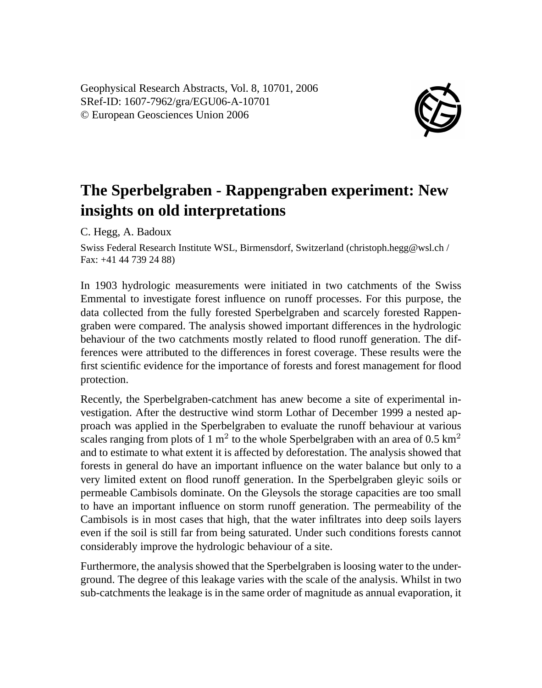Geophysical Research Abstracts, Vol. 8, 10701, 2006 SRef-ID: 1607-7962/gra/EGU06-A-10701 © European Geosciences Union 2006



## **The Sperbelgraben - Rappengraben experiment: New insights on old interpretations**

C. Hegg, A. Badoux

Swiss Federal Research Institute WSL, Birmensdorf, Switzerland (christoph.hegg@wsl.ch / Fax: +41 44 739 24 88)

In 1903 hydrologic measurements were initiated in two catchments of the Swiss Emmental to investigate forest influence on runoff processes. For this purpose, the data collected from the fully forested Sperbelgraben and scarcely forested Rappengraben were compared. The analysis showed important differences in the hydrologic behaviour of the two catchments mostly related to flood runoff generation. The differences were attributed to the differences in forest coverage. These results were the first scientific evidence for the importance of forests and forest management for flood protection.

Recently, the Sperbelgraben-catchment has anew become a site of experimental investigation. After the destructive wind storm Lothar of December 1999 a nested approach was applied in the Sperbelgraben to evaluate the runoff behaviour at various scales ranging from plots of 1 m<sup>2</sup> to the whole Sperbelgraben with an area of 0.5 km<sup>2</sup> and to estimate to what extent it is affected by deforestation. The analysis showed that forests in general do have an important influence on the water balance but only to a very limited extent on flood runoff generation. In the Sperbelgraben gleyic soils or permeable Cambisols dominate. On the Gleysols the storage capacities are too small to have an important influence on storm runoff generation. The permeability of the Cambisols is in most cases that high, that the water infiltrates into deep soils layers even if the soil is still far from being saturated. Under such conditions forests cannot considerably improve the hydrologic behaviour of a site.

Furthermore, the analysis showed that the Sperbelgraben is loosing water to the underground. The degree of this leakage varies with the scale of the analysis. Whilst in two sub-catchments the leakage is in the same order of magnitude as annual evaporation, it